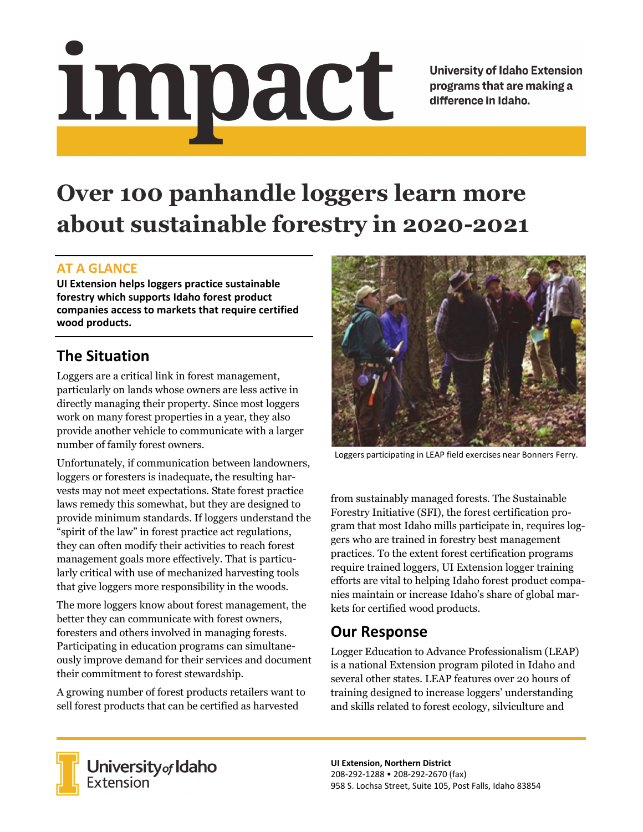# Impact

**University of Idaho Extension** programs that are making a difference in Idaho.

# **Over 100 panhandle loggers learn more about sustainable forestry in 2020-2021**

#### **AT A GLANCE**

**UI Extension helps loggers practice sustainable forestry which supports Idaho forest product companies access to markets that require certified wood products.**

# **The Situation**

Loggers are a critical link in forest management, particularly on lands whose owners are less active in directly managing their property. Since most loggers work on many forest properties in a year, they also provide another vehicle to communicate with a larger number of family forest owners.

Unfortunately, if communication between landowners, loggers or foresters is inadequate, the resulting harvests may not meet expectations. State forest practice laws remedy this somewhat, but they are designed to provide minimum standards. If loggers understand the "spirit of the law" in forest practice act regulations, they can often modify their activities to reach forest management goals more effectively. That is particularly critical with use of mechanized harvesting tools that give loggers more responsibility in the woods.

The more loggers know about forest management, the better they can communicate with forest owners, foresters and others involved in managing forests. Participating in education programs can simultaneously improve demand for their services and document their commitment to forest stewardship.

A growing number of forest products retailers want to sell forest products that can be certified as harvested



Loggers participating in LEAP field exercises near Bonners Ferry.

from sustainably managed forests. The Sustainable Forestry Initiative (SFI), the forest certification program that most Idaho mills participate in, requires loggers who are trained in forestry best management practices. To the extent forest certification programs require trained loggers, UI Extension logger training efforts are vital to helping Idaho forest product companies maintain or increase Idaho's share of global markets for certified wood products.

## **Our Response**

Logger Education to Advance Professionalism (LEAP) is a national Extension program piloted in Idaho and several other states. LEAP features over 20 hours of training designed to increase loggers' understanding and skills related to forest ecology, silviculture and



**University** of Idaho<br>Extension